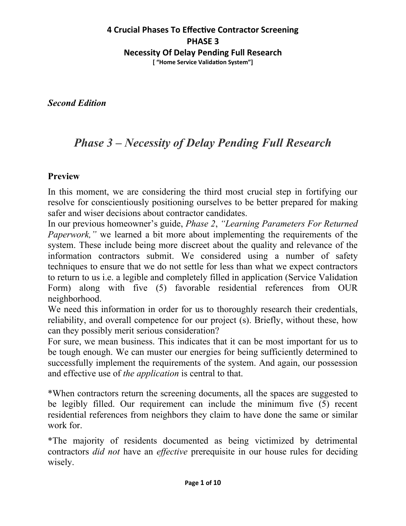*Second Edition*

## *Phase 3 – Necessity of Delay Pending Full Research*

#### **Preview**

In this moment, we are considering the third most crucial step in fortifying our resolve for conscientiously positioning ourselves to be better prepared for making safer and wiser decisions about contractor candidates.

In our previous homeowner's guide, *Phase 2*, *"Learning Parameters For Returned Paperwork,*" we learned a bit more about implementing the requirements of the system. These include being more discreet about the quality and relevance of the information contractors submit. We considered using a number of safety techniques to ensure that we do not settle for less than what we expect contractors to return to us i.e. a legible and completely filled in application (Service Validation Form) along with five (5) favorable residential references from OUR neighborhood.

We need this information in order for us to thoroughly research their credentials, reliability, and overall competence for our project (s). Briefly, without these, how can they possibly merit serious consideration?

For sure, we mean business. This indicates that it can be most important for us to be tough enough. We can muster our energies for being sufficiently determined to successfully implement the requirements of the system. And again, our possession and effective use of *the application* is central to that.

\*When contractors return the screening documents, all the spaces are suggested to be legibly filled. Our requirement can include the minimum five (5) recent residential references from neighbors they claim to have done the same or similar work for.

\*The majority of residents documented as being victimized by detrimental contractors *did not* have an *effective* prerequisite in our house rules for deciding wisely.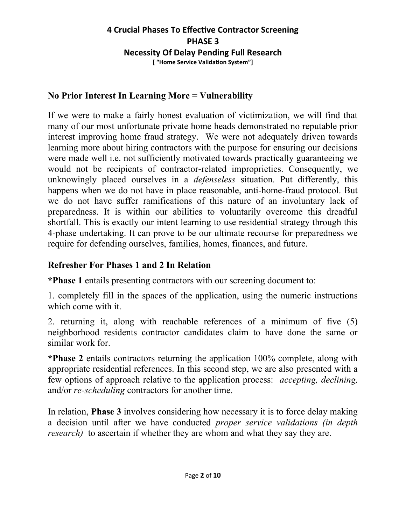### **No Prior Interest In Learning More = Vulnerability**

If we were to make a fairly honest evaluation of victimization, we will find that many of our most unfortunate private home heads demonstrated no reputable prior interest improving home fraud strategy. We were not adequately driven towards learning more about hiring contractors with the purpose for ensuring our decisions were made well i.e. not sufficiently motivated towards practically guaranteeing we would not be recipients of contractor-related improprieties. Consequently, we unknowingly placed ourselves in a *defenseless* situation. Put differently, this happens when we do not have in place reasonable, anti-home-fraud protocol. But we do not have suffer ramifications of this nature of an involuntary lack of preparedness. It is within our abilities to voluntarily overcome this dreadful shortfall. This is exactly our intent learning to use residential strategy through this 4-phase undertaking. It can prove to be our ultimate recourse for preparedness we require for defending ourselves, families, homes, finances, and future.

### **Refresher For Phases 1 and 2 In Relation**

**\*Phase 1** entails presenting contractors with our screening document to:

1. completely fill in the spaces of the application, using the numeric instructions which come with it.

2. returning it, along with reachable references of a minimum of five (5) neighborhood residents contractor candidates claim to have done the same or similar work for.

**\*Phase 2** entails contractors returning the application 100% complete, along with appropriate residential references. In this second step, we are also presented with a few options of approach relative to the application process: *accepting, declining,* and/or *re-scheduling* contractors for another time.

In relation, **Phase 3** involves considering how necessary it is to force delay making a decision until after we have conducted *proper service validations (in depth research*) to ascertain if whether they are whom and what they say they are.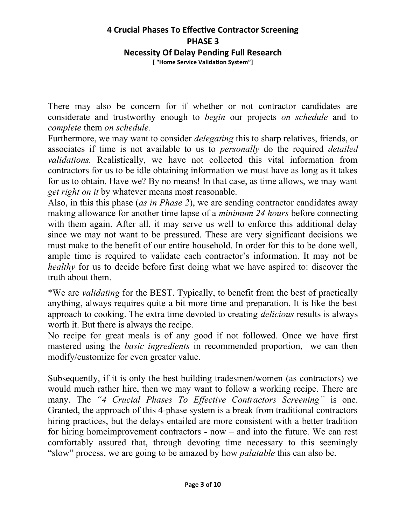# **4 Crucial Phases To Effective Contractor Screening PHASE 3**

**Necessity Of Delay Pending Full Research**

**[ "Home Service Validation System"]**

There may also be concern for if whether or not contractor candidates are considerate and trustworthy enough to *begin* our projects *on schedule* and to *complete* them *on schedule.* 

Furthermore, we may want to consider *delegating* this to sharp relatives, friends, or associates if time is not available to us to *personally* do the required *detailed validations.* Realistically, we have not collected this vital information from contractors for us to be idle obtaining information we must have as long as it takes for us to obtain. Have we? By no means! In that case, as time allows, we may want *get right on it* by whatever means most reasonable.

Also, in this this phase (*as in Phase 2*), we are sending contractor candidates away making allowance for another time lapse of a *minimum 24 hours* before connecting with them again. After all, it may serve us well to enforce this additional delay since we may not want to be pressured. These are very significant decisions we must make to the benefit of our entire household. In order for this to be done well, ample time is required to validate each contractor's information. It may not be *healthy* for us to decide before first doing what we have aspired to: discover the truth about them.

\*We are *validating* for the BEST. Typically, to benefit from the best of practically anything, always requires quite a bit more time and preparation. It is like the best approach to cooking. The extra time devoted to creating *delicious* results is always worth it. But there is always the recipe.

No recipe for great meals is of any good if not followed. Once we have first mastered using the *basic ingredients* in recommended proportion, we can then modify/customize for even greater value.

Subsequently, if it is only the best building tradesmen/women (as contractors) we would much rather hire, then we may want to follow a working recipe. There are many. The *"4 Crucial Phases To Effective Contractors Screening*" is one. Granted, the approach of this 4-phase system is a break from traditional contractors hiring practices, but the delays entailed are more consistent with a better tradition for hiring homeimprovement contractors - now – and into the future. We can rest comfortably assured that, through devoting time necessary to this seemingly "slow" process, we are going to be amazed by how *palatable* this can also be.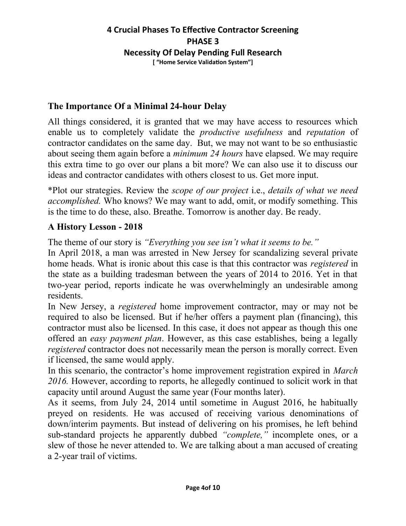#### **The Importance Of a Minimal 24-hour Delay**

All things considered, it is granted that we may have access to resources which enable us to completely validate the *productive usefulness* and *reputation* of contractor candidates on the same day. But, we may not want to be so enthusiastic about seeing them again before a *minimum 24 hours* have elapsed. We may require this extra time to go over our plans a bit more? We can also use it to discuss our ideas and contractor candidates with others closest to us. Get more input.

\*Plot our strategies. Review the *scope of our project* i.e., *details of what we need accomplished.* Who knows? We may want to add, omit, or modify something. This is the time to do these, also. Breathe. Tomorrow is another day. Be ready.

### **A History Lesson - 2018**

The theme of our story is *"Everything you see isn't what it seems to be."*

In April 2018, a man was arrested in New Jersey for scandalizing several private home heads. What is ironic about this case is that this contractor was *registered* in the state as a building tradesman between the years of 2014 to 2016. Yet in that two-year period, reports indicate he was overwhelmingly an undesirable among residents.

In New Jersey, a *registered* home improvement contractor, may or may not be required to also be licensed. But if he/her offers a payment plan (financing), this contractor must also be licensed. In this case, it does not appear as though this one offered an *easy payment plan*. However, as this case establishes, being a legally *registered* contractor does not necessarily mean the person is morally correct. Even if licensed, the same would apply.

In this scenario, the contractor's home improvement registration expired in *March 2016.* However, according to reports, he allegedly continued to solicit work in that capacity until around August the same year (Four months later).

As it seems, from July 24, 2014 until sometime in August 2016, he habitually preyed on residents. He was accused of receiving various denominations of down/interim payments. But instead of delivering on his promises, he left behind sub-standard projects he apparently dubbed *"complete,"* incomplete ones, or a slew of those he never attended to. We are talking about a man accused of creating a 2-year trail of victims.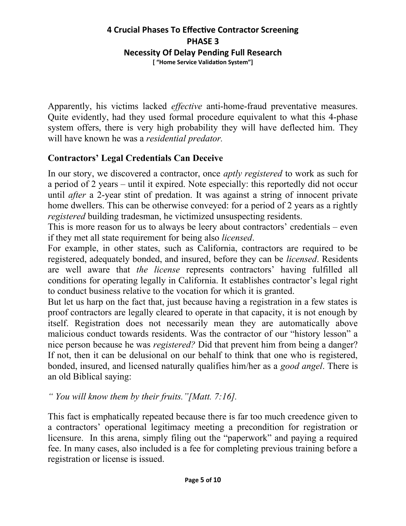Apparently, his victims lacked *effective* anti-home-fraud preventative measures. Quite evidently, had they used formal procedure equivalent to what this 4-phase system offers, there is very high probability they will have deflected him. They will have known he was a *residential predator.*

## **Contractors' Legal Credentials Can Deceive**

In our story, we discovered a contractor, once *aptly registered* to work as such for a period of 2 years – until it expired. Note especially: this reportedly did not occur until *after* a 2-year stint of predation. It was against a string of innocent private home dwellers. This can be otherwise conveyed: for a period of 2 years as a rightly *registered* building tradesman, he victimized unsuspecting residents.

This is more reason for us to always be leery about contractors' credentials – even if they met all state requirement for being also *licensed*.

For example, in other states, such as California, contractors are required to be registered, adequately bonded, and insured, before they can be *licensed*. Residents are well aware that *the license* represents contractors' having fulfilled all conditions for operating legally in California. It establishes contractor's legal right to conduct business relative to the vocation for which it is granted.

But let us harp on the fact that, just because having a registration in a few states is proof contractors are legally cleared to operate in that capacity, it is not enough by itself. Registration does not necessarily mean they are automatically above malicious conduct towards residents. Was the contractor of our "history lesson" a nice person because he was *registered?* Did that prevent him from being a danger? If not, then it can be delusional on our behalf to think that one who is registered, bonded, insured, and licensed naturally qualifies him/her as a *good angel*. There is an old Biblical saying:

*" You will know them by their fruits."[Matt. 7:16].*

This fact is emphatically repeated because there is far too much creedence given to a contractors' operational legitimacy meeting a precondition for registration or licensure. In this arena, simply filing out the "paperwork" and paying a required fee. In many cases, also included is a fee for completing previous training before a registration or license is issued.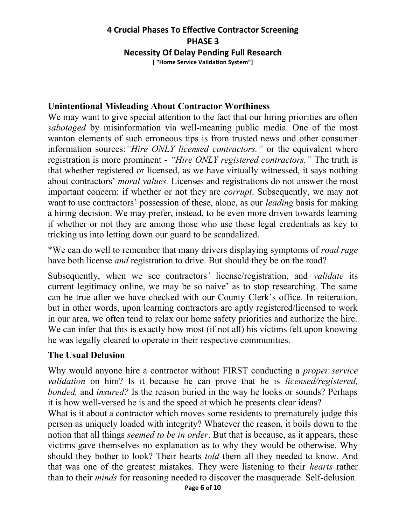#### **4 Crucial Phases To Effective Contractor Screening PHASE 3 Necessity Of Delay Pending Full Research**

**[ "Home Service Validation System"]**

#### **Unintentional Misleading About Contractor Worthiness**

We may want to give special attention to the fact that our hiring priorities are often *sabotaged* by misinformation via well-meaning public media. One of the most wanton elements of such erroneous tips is from trusted news and other consumer information sources:*"Hire ONLY licensed contractors."* or the equivalent where registration is more prominent - *"Hire ONLY registered contractors."* The truth is that whether registered or licensed, as we have virtually witnessed, it says nothing about contractors' *moral values.* Licenses and registrations do not answer the most important concern: if whether or not they are *corrupt*. Subsequently, we may not want to use contractors' possession of these, alone, as our *leading* basis for making a hiring decision. We may prefer, instead, to be even more driven towards learning if whether or not they are among those who use these legal credentials as key to tricking us into letting down our guard to be scandalized.

\*We can do well to remember that many drivers displaying symptoms of *road rage* have both license *and* registration to drive. But should they be on the road?

Subsequently, when we see contractors*'* license/registration, and *validate* its current legitimacy online, we may be so naive' as to stop researching. The same can be true after we have checked with our County Clerk's office. In reiteration, but in other words, upon learning contractors are aptly registered/licensed to work in our area, we often tend to relax our home safety priorities and authorize the hire. We can infer that this is exactly how most (if not all) his victims felt upon knowing he was legally cleared to operate in their respective communities.

#### **The Usual Delusion**

Why would anyone hire a contractor without FIRST conducting a *proper service validation* on him? Is it because he can prove that he is *licensed/registered, bonded,* and *insured?* Is the reason buried in the way he looks or sounds? Perhaps it is how well-versed he is and the speed at which he presents clear ideas?

What is it about a contractor which moves some residents to prematurely judge this person as uniquely loaded with integrity? Whatever the reason, it boils down to the notion that all things *seemed to be in order*. But that is because, as it appears, these victims gave themselves no explanation as to why they would be otherwise. Why should they bother to look? Their hearts *told* them all they needed to know. And that was one of the greatest mistakes. They were listening to their *hearts* rather than to their *minds* for reasoning needed to discover the masquerade. Self-delusion.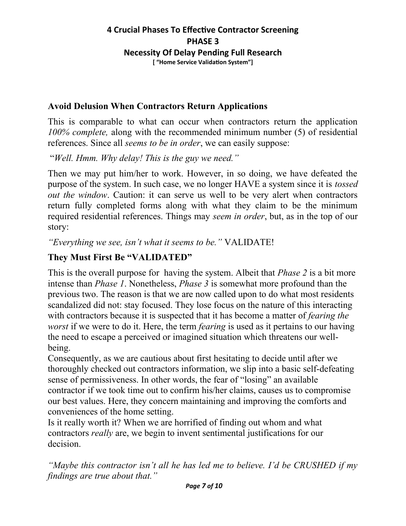#### **Avoid Delusion When Contractors Return Applications**

This is comparable to what can occur when contractors return the application *100% complete,* along with the recommended minimum number (5) of residential references. Since all *seems to be in order*, we can easily suppose:

"*Well. Hmm. Why delay! This is the guy we need."*

Then we may put him/her to work. However, in so doing, we have defeated the purpose of the system. In such case, we no longer HAVE a system since it is *tossed out the window*. Caution: it can serve us well to be very alert when contractors return fully completed forms along with what they claim to be the minimum required residential references. Things may *seem in order*, but, as in the top of our story:

*"Everything we see, isn't what it seems to be."* VALIDATE!

## **They Must First Be "VALIDATED"**

This is the overall purpose for having the system. Albeit that *Phase 2* is a bit more intense than *Phase 1*. Nonetheless, *Phase 3* is somewhat more profound than the previous two. The reason is that we are now called upon to do what most residents scandalized did not: stay focused. They lose focus on the nature of this interacting with contractors because it is suspected that it has become a matter of *fearing the worst* if we were to do it. Here, the term *fearing* is used as it pertains to our having the need to escape a perceived or imagined situation which threatens our wellbeing.

Consequently, as we are cautious about first hesitating to decide until after we thoroughly checked out contractors information, we slip into a basic self-defeating sense of permissiveness. In other words, the fear of "losing" an available contractor if we took time out to confirm his/her claims, causes us to compromise our best values. Here, they concern maintaining and improving the comforts and conveniences of the home setting.

Is it really worth it? When we are horrified of finding out whom and what contractors *really* are, we begin to invent sentimental justifications for our decision.

*"Maybe this contractor isn't all he has led me to believe. I'd be CRUSHED if my findings are true about that."*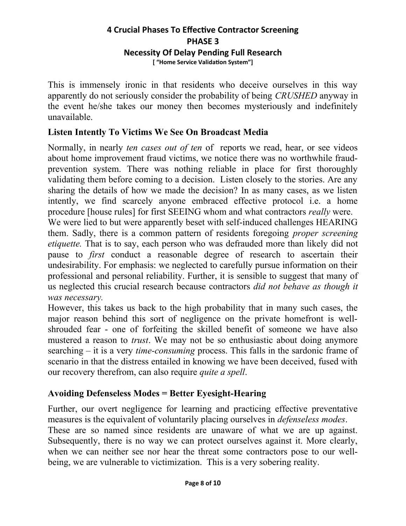This is immensely ironic in that residents who deceive ourselves in this way apparently do not seriously consider the probability of being *CRUSHED* anyway in the event he/she takes our money then becomes mysteriously and indefinitely unavailable.

### **Listen Intently To Victims We See On Broadcast Media**

Normally, in nearly *ten cases out of ten* of reports we read, hear, or see videos about home improvement fraud victims, we notice there was no worthwhile fraudprevention system. There was nothing reliable in place for first thoroughly validating them before coming to a decision. Listen closely to the stories. Are any sharing the details of how we made the decision? In as many cases, as we listen intently, we find scarcely anyone embraced effective protocol i.e. a home procedure [house rules] for first SEEING whom and what contractors *really* were.

We were lied to but were apparently beset with self-induced challenges HEARING them. Sadly, there is a common pattern of residents foregoing *proper screening etiquette.* That is to say, each person who was defrauded more than likely did not pause to *first* conduct a reasonable degree of research to ascertain their undesirability. For emphasis: we neglected to carefully pursue information on their professional and personal reliability. Further, it is sensible to suggest that many of us neglected this crucial research because contractors *did not behave as though it was necessary.*

However, this takes us back to the high probability that in many such cases, the major reason behind this sort of negligence on the private homefront is wellshrouded fear - one of forfeiting the skilled benefit of someone we have also mustered a reason to *trust*. We may not be so enthusiastic about doing anymore searching – it is a very *time-consuming* process. This falls in the sardonic frame of scenario in that the distress entailed in knowing we have been deceived, fused with our recovery therefrom, can also require *quite a spell*.

## **Avoiding Defenseless Modes = Better Eyesight-Hearing**

Further, our overt negligence for learning and practicing effective preventative measures is the equivalent of voluntarily placing ourselves in *defenseless modes*. These are so named since residents are unaware of what we are up against. Subsequently, there is no way we can protect ourselves against it. More clearly, when we can neither see nor hear the threat some contractors pose to our wellbeing, we are vulnerable to victimization. This is a very sobering reality.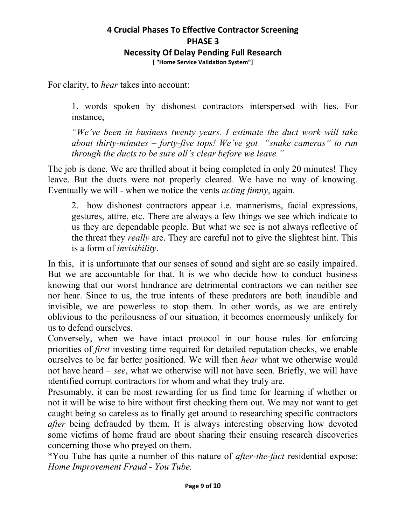For clarity, to *hear* takes into account:

1. words spoken by dishonest contractors interspersed with lies. For instance,

*"We've been in business twenty years. I estimate the duct work will take about thirty-minutes – forty-five tops! We've got "snake cameras" to run through the ducts to be sure all's clear before we leave."*

The job is done. We are thrilled about it being completed in only 20 minutes! They leave. But the ducts were not properly cleared. We have no way of knowing. Eventually we will - when we notice the vents *acting funny*, again.

2. how dishonest contractors appear i.e. mannerisms, facial expressions, gestures, attire, etc. There are always a few things we see which indicate to us they are dependable people. But what we see is not always reflective of the threat they *really* are. They are careful not to give the slightest hint. This is a form of *invisibility*.

In this, it is unfortunate that our senses of sound and sight are so easily impaired. But we are accountable for that. It is we who decide how to conduct business knowing that our worst hindrance are detrimental contractors we can neither see nor hear. Since to us, the true intents of these predators are both inaudible and invisible, we are powerless to stop them. In other words, as we are entirely oblivious to the perilousness of our situation, it becomes enormously unlikely for us to defend ourselves.

Conversely, when we have intact protocol in our house rules for enforcing priorities of *first* investing time required for detailed reputation checks, we enable ourselves to be far better positioned. We will then *hear* what we otherwise would not have heard – *see*, what we otherwise will not have seen. Briefly, we will have identified corrupt contractors for whom and what they truly are.

Presumably, it can be most rewarding for us find time for learning if whether or not it will be wise to hire without first checking them out. We may not want to get caught being so careless as to finally get around to researching specific contractors *after* being defrauded by them. It is always interesting observing how devoted some victims of home fraud are about sharing their ensuing research discoveries concerning those who preyed on them.

\*You Tube has quite a number of this nature of *after-the-fact* residential expose: *Home Improvement Fraud - You Tube.*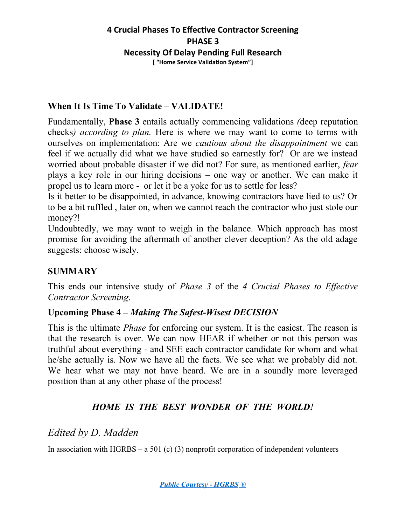#### **4 Crucial Phases To Effective Contractor Screening PHASE 3 Necessity Of Delay Pending Full Research**

**[ "Home Service Validation System"]**

#### **When It Is Time To Validate – VALIDATE!**

Fundamentally, **Phase 3** entails actually commencing validations *(*deep reputation checks*) according to plan.* Here is where we may want to come to terms with ourselves on implementation: Are we *cautious about the disappointment* we can feel if we actually did what we have studied so earnestly for? Or are we instead worried about probable disaster if we did not? For sure, as mentioned earlier, *fear* plays a key role in our hiring decisions – one way or another. We can make it propel us to learn more - or let it be a yoke for us to settle for less?

Is it better to be disappointed, in advance, knowing contractors have lied to us? Or to be a bit ruffled , later on, when we cannot reach the contractor who just stole our money?!

Undoubtedly, we may want to weigh in the balance. Which approach has most promise for avoiding the aftermath of another clever deception? As the old adage suggests: choose wisely.

#### **SUMMARY**

This ends our intensive study of *Phase 3* of the *4 Crucial Phases to Effective Contractor Screening*.

#### **Upcoming Phase 4 –** *Making The Safest-Wisest DECISION*

This is the ultimate *Phase* for enforcing our system. It is the easiest. The reason is that the research is over. We can now HEAR if whether or not this person was truthful about everything - and SEE each contractor candidate for whom and what he/she actually is. Now we have all the facts. We see what we probably did not. We hear what we may not have heard. We are in a soundly more leveraged position than at any other phase of the process!

#### *HOME IS THE BEST WONDER OF THE WORLD!*

*Edited by D. Madden* 

In association with  $HGRBS - a 501$  (c) (3) nonprofit corporation of independent volunteers